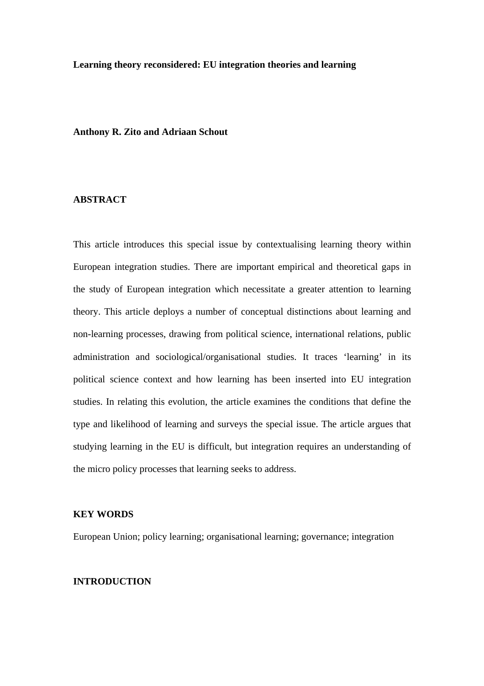#### **Learning theory reconsidered: EU integration theories and learning**

## **Anthony R. Zito and Adriaan Schout**

## **ABSTRACT**

This article introduces this special issue by contextualising learning theory within European integration studies. There are important empirical and theoretical gaps in the study of European integration which necessitate a greater attention to learning theory. This article deploys a number of conceptual distinctions about learning and non-learning processes, drawing from political science, international relations, public administration and sociological/organisational studies. It traces 'learning' in its political science context and how learning has been inserted into EU integration studies. In relating this evolution, the article examines the conditions that define the type and likelihood of learning and surveys the special issue. The article argues that studying learning in the EU is difficult, but integration requires an understanding of the micro policy processes that learning seeks to address.

# **KEY WORDS**

European Union; policy learning; organisational learning; governance; integration

### **INTRODUCTION**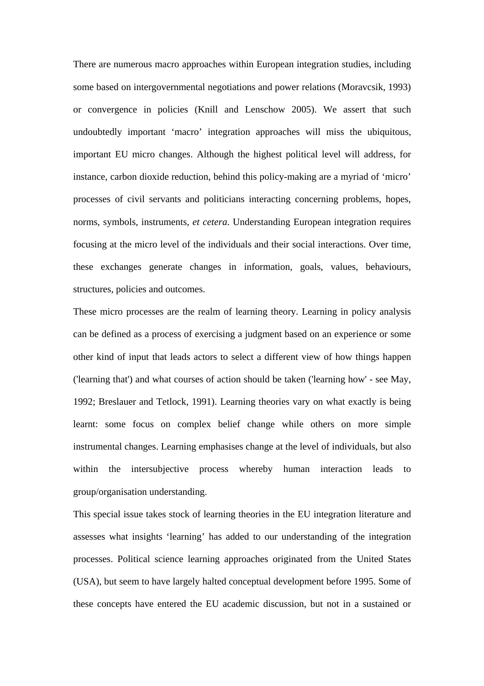There are numerous macro approaches within European integration studies, including some based on intergovernmental negotiations and power relations (Moravcsik, 1993) or convergence in policies (Knill and Lenschow 2005). We assert that such undoubtedly important 'macro' integration approaches will miss the ubiquitous, important EU micro changes. Although the highest political level will address, for instance, carbon dioxide reduction, behind this policy-making are a myriad of 'micro' processes of civil servants and politicians interacting concerning problems, hopes, norms, symbols, instruments, *et cetera*. Understanding European integration requires focusing at the micro level of the individuals and their social interactions. Over time, these exchanges generate changes in information, goals, values, behaviours, structures, policies and outcomes.

These micro processes are the realm of learning theory. Learning in policy analysis can be defined as a process of exercising a judgment based on an experience or some other kind of input that leads actors to select a different view of how things happen ('learning that') and what courses of action should be taken ('learning how' - see May, 1992; Breslauer and Tetlock, 1991). Learning theories vary on what exactly is being learnt: some focus on complex belief change while others on more simple instrumental changes. Learning emphasises change at the level of individuals, but also within the intersubjective process whereby human interaction leads to group/organisation understanding.

This special issue takes stock of learning theories in the EU integration literature and assesses what insights 'learning' has added to our understanding of the integration processes. Political science learning approaches originated from the United States (USA), but seem to have largely halted conceptual development before 1995. Some of these concepts have entered the EU academic discussion, but not in a sustained or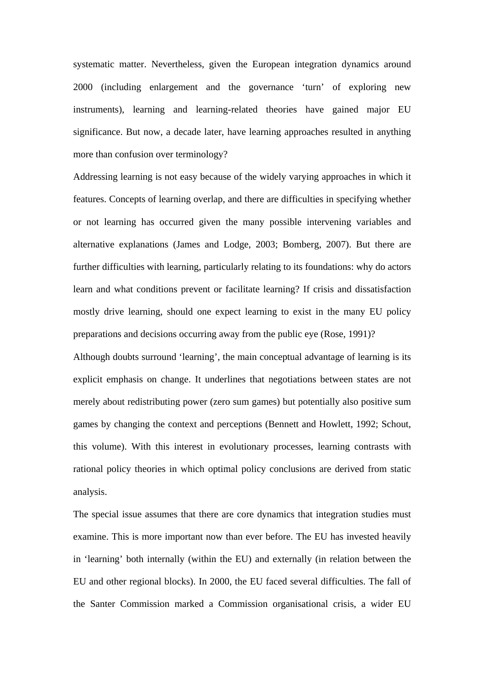systematic matter. Nevertheless, given the European integration dynamics around 2000 (including enlargement and the governance 'turn' of exploring new instruments), learning and learning-related theories have gained major EU significance. But now, a decade later, have learning approaches resulted in anything more than confusion over terminology?

Addressing learning is not easy because of the widely varying approaches in which it features. Concepts of learning overlap, and there are difficulties in specifying whether or not learning has occurred given the many possible intervening variables and alternative explanations (James and Lodge, 2003; Bomberg, 2007). But there are further difficulties with learning, particularly relating to its foundations: why do actors learn and what conditions prevent or facilitate learning? If crisis and dissatisfaction mostly drive learning, should one expect learning to exist in the many EU policy preparations and decisions occurring away from the public eye (Rose, 1991)?

Although doubts surround 'learning', the main conceptual advantage of learning is its explicit emphasis on change. It underlines that negotiations between states are not merely about redistributing power (zero sum games) but potentially also positive sum games by changing the context and perceptions (Bennett and Howlett, 1992; Schout, this volume). With this interest in evolutionary processes, learning contrasts with rational policy theories in which optimal policy conclusions are derived from static analysis.

The special issue assumes that there are core dynamics that integration studies must examine. This is more important now than ever before. The EU has invested heavily in 'learning' both internally (within the EU) and externally (in relation between the EU and other regional blocks). In 2000, the EU faced several difficulties. The fall of the Santer Commission marked a Commission organisational crisis, a wider EU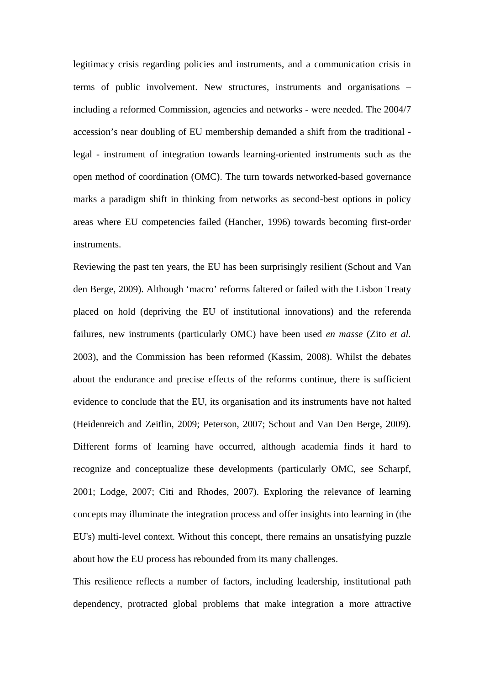legitimacy crisis regarding policies and instruments, and a communication crisis in terms of public involvement. New structures, instruments and organisations – including a reformed Commission, agencies and networks - were needed. The 2004/7 accession's near doubling of EU membership demanded a shift from the traditional legal - instrument of integration towards learning-oriented instruments such as the open method of coordination (OMC). The turn towards networked-based governance marks a paradigm shift in thinking from networks as second-best options in policy areas where EU competencies failed (Hancher, 1996) towards becoming first-order instruments.

Reviewing the past ten years, the EU has been surprisingly resilient (Schout and Van den Berge, 2009). Although 'macro' reforms faltered or failed with the Lisbon Treaty placed on hold (depriving the EU of institutional innovations) and the referenda failures, new instruments (particularly OMC) have been used *en masse* (Zito *et al.* 2003), and the Commission has been reformed (Kassim, 2008). Whilst the debates about the endurance and precise effects of the reforms continue, there is sufficient evidence to conclude that the EU, its organisation and its instruments have not halted (Heidenreich and Zeitlin, 2009; Peterson, 2007; Schout and Van Den Berge, 2009). Different forms of learning have occurred, although academia finds it hard to recognize and conceptualize these developments (particularly OMC, see Scharpf, 2001; Lodge, 2007; Citi and Rhodes, 2007). Exploring the relevance of learning concepts may illuminate the integration process and offer insights into learning in (the EU's) multi-level context. Without this concept, there remains an unsatisfying puzzle about how the EU process has rebounded from its many challenges.

This resilience reflects a number of factors, including leadership, institutional path dependency, protracted global problems that make integration a more attractive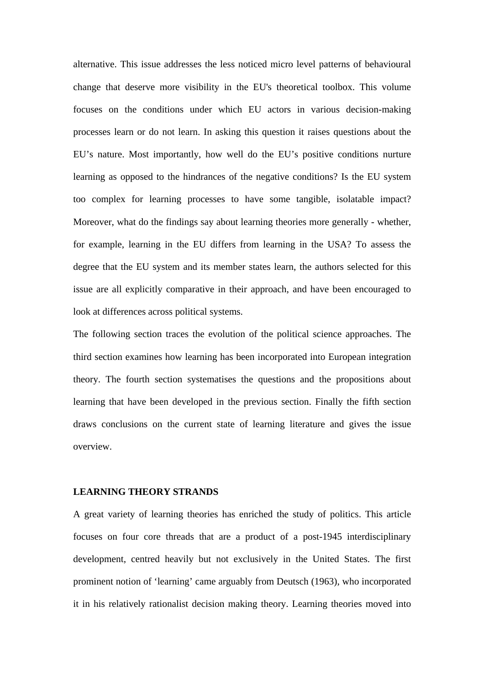alternative. This issue addresses the less noticed micro level patterns of behavioural change that deserve more visibility in the EU's theoretical toolbox. This volume focuses on the conditions under which EU actors in various decision-making processes learn or do not learn. In asking this question it raises questions about the EU's nature. Most importantly, how well do the EU's positive conditions nurture learning as opposed to the hindrances of the negative conditions? Is the EU system too complex for learning processes to have some tangible, isolatable impact? Moreover, what do the findings say about learning theories more generally - whether, for example, learning in the EU differs from learning in the USA? To assess the degree that the EU system and its member states learn, the authors selected for this issue are all explicitly comparative in their approach, and have been encouraged to look at differences across political systems.

The following section traces the evolution of the political science approaches. The third section examines how learning has been incorporated into European integration theory. The fourth section systematises the questions and the propositions about learning that have been developed in the previous section. Finally the fifth section draws conclusions on the current state of learning literature and gives the issue overview.

### **LEARNING THEORY STRANDS**

A great variety of learning theories has enriched the study of politics. This article focuses on four core threads that are a product of a post-1945 interdisciplinary development, centred heavily but not exclusively in the United States. The first prominent notion of 'learning' came arguably from Deutsch (1963), who incorporated it in his relatively rationalist decision making theory. Learning theories moved into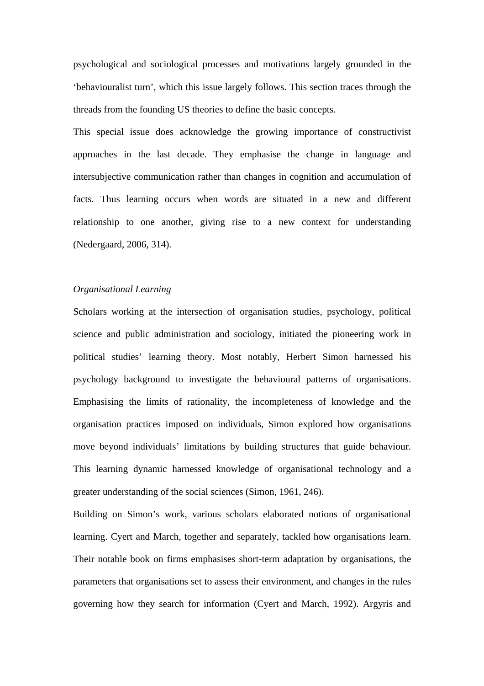psychological and sociological processes and motivations largely grounded in the 'behaviouralist turn', which this issue largely follows. This section traces through the threads from the founding US theories to define the basic concepts.

This special issue does acknowledge the growing importance of constructivist approaches in the last decade. They emphasise the change in language and intersubjective communication rather than changes in cognition and accumulation of facts. Thus learning occurs when words are situated in a new and different relationship to one another, giving rise to a new context for understanding (Nedergaard, 2006, 314).

# *Organisational Learning*

Scholars working at the intersection of organisation studies, psychology, political science and public administration and sociology, initiated the pioneering work in political studies' learning theory. Most notably, Herbert Simon harnessed his psychology background to investigate the behavioural patterns of organisations. Emphasising the limits of rationality, the incompleteness of knowledge and the organisation practices imposed on individuals, Simon explored how organisations move beyond individuals' limitations by building structures that guide behaviour. This learning dynamic harnessed knowledge of organisational technology and a greater understanding of the social sciences (Simon, 1961, 246).

Building on Simon's work, various scholars elaborated notions of organisational learning. Cyert and March, together and separately, tackled how organisations learn. Their notable book on firms emphasises short-term adaptation by organisations, the parameters that organisations set to assess their environment, and changes in the rules governing how they search for information (Cyert and March, 1992). Argyris and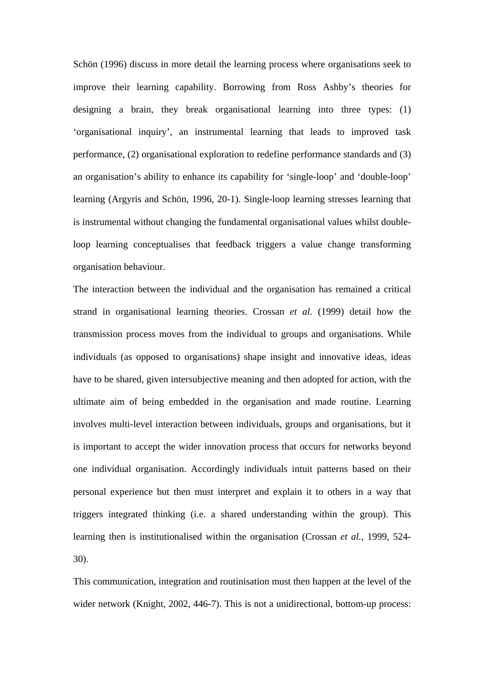Schön (1996) discuss in more detail the learning process where organisations seek to improve their learning capability. Borrowing from Ross Ashby's theories for designing a brain, they break organisational learning into three types: (1) 'organisational inquiry', an instrumental learning that leads to improved task performance, (2) organisational exploration to redefine performance standards and (3) an organisation's ability to enhance its capability for 'single-loop' and 'double-loop' learning (Argyris and Schön, 1996, 20-1). Single-loop learning stresses learning that is instrumental without changing the fundamental organisational values whilst doubleloop learning conceptualises that feedback triggers a value change transforming organisation behaviour.

The interaction between the individual and the organisation has remained a critical strand in organisational learning theories. Crossan *et al.* (1999) detail how the transmission process moves from the individual to groups and organisations. While individuals (as opposed to organisations) shape insight and innovative ideas, ideas have to be shared, given intersubjective meaning and then adopted for action, with the ultimate aim of being embedded in the organisation and made routine. Learning involves multi-level interaction between individuals, groups and organisations, but it is important to accept the wider innovation process that occurs for networks beyond one individual organisation. Accordingly individuals intuit patterns based on their personal experience but then must interpret and explain it to others in a way that triggers integrated thinking (i.e. a shared understanding within the group). This learning then is institutionalised within the organisation (Crossan *et al.,* 1999, 524- 30).

This communication, integration and routinisation must then happen at the level of the wider network (Knight, 2002, 446-7). This is not a unidirectional, bottom-up process: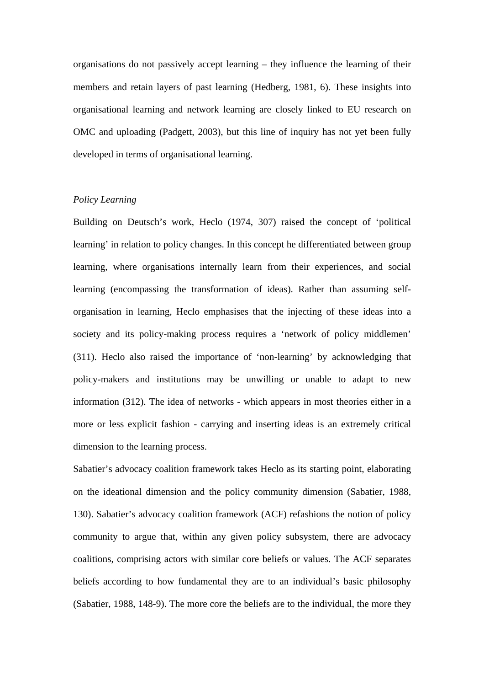organisations do not passively accept learning – they influence the learning of their members and retain layers of past learning (Hedberg, 1981, 6). These insights into organisational learning and network learning are closely linked to EU research on OMC and uploading (Padgett, 2003), but this line of inquiry has not yet been fully developed in terms of organisational learning.

## *Policy Learning*

Building on Deutsch's work, Heclo (1974, 307) raised the concept of 'political learning' in relation to policy changes. In this concept he differentiated between group learning, where organisations internally learn from their experiences, and social learning (encompassing the transformation of ideas). Rather than assuming selforganisation in learning, Heclo emphasises that the injecting of these ideas into a society and its policy-making process requires a 'network of policy middlemen' (311). Heclo also raised the importance of 'non-learning' by acknowledging that policy-makers and institutions may be unwilling or unable to adapt to new information (312). The idea of networks - which appears in most theories either in a more or less explicit fashion - carrying and inserting ideas is an extremely critical dimension to the learning process.

Sabatier's advocacy coalition framework takes Heclo as its starting point, elaborating on the ideational dimension and the policy community dimension (Sabatier, 1988, 130). Sabatier's advocacy coalition framework (ACF) refashions the notion of policy community to argue that, within any given policy subsystem, there are advocacy coalitions, comprising actors with similar core beliefs or values. The ACF separates beliefs according to how fundamental they are to an individual's basic philosophy (Sabatier, 1988, 148-9). The more core the beliefs are to the individual, the more they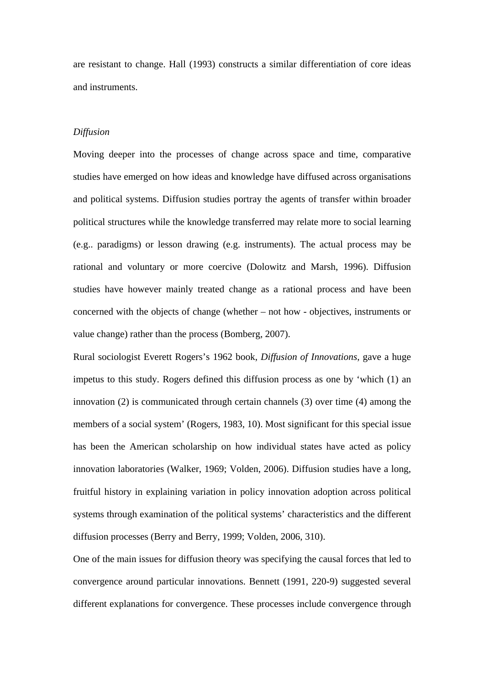are resistant to change. Hall (1993) constructs a similar differentiation of core ideas and instruments.

### *Diffusion*

Moving deeper into the processes of change across space and time, comparative studies have emerged on how ideas and knowledge have diffused across organisations and political systems. Diffusion studies portray the agents of transfer within broader political structures while the knowledge transferred may relate more to social learning (e.g.. paradigms) or lesson drawing (e.g. instruments). The actual process may be rational and voluntary or more coercive (Dolowitz and Marsh, 1996). Diffusion studies have however mainly treated change as a rational process and have been concerned with the objects of change (whether – not how - objectives, instruments or value change) rather than the process (Bomberg, 2007).

Rural sociologist Everett Rogers's 1962 book, *Diffusion of Innovations*, gave a huge impetus to this study. Rogers defined this diffusion process as one by 'which (1) an innovation (2) is communicated through certain channels (3) over time (4) among the members of a social system' (Rogers, 1983, 10). Most significant for this special issue has been the American scholarship on how individual states have acted as policy innovation laboratories (Walker, 1969; Volden, 2006). Diffusion studies have a long, fruitful history in explaining variation in policy innovation adoption across political systems through examination of the political systems' characteristics and the different diffusion processes (Berry and Berry, 1999; Volden, 2006, 310).

One of the main issues for diffusion theory was specifying the causal forces that led to convergence around particular innovations. Bennett (1991, 220-9) suggested several different explanations for convergence. These processes include convergence through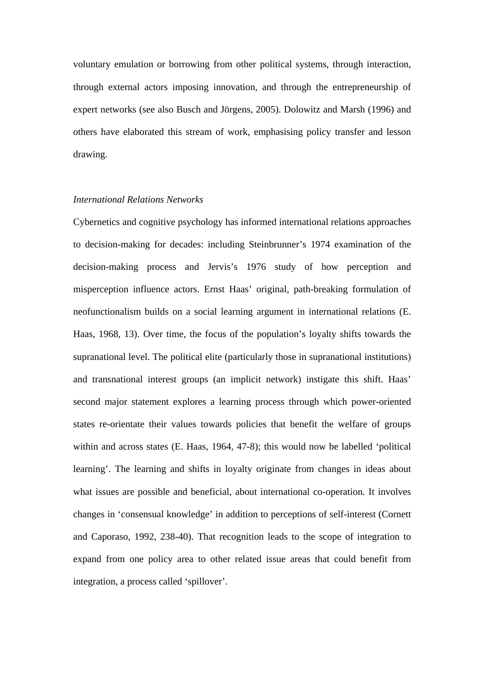voluntary emulation or borrowing from other political systems, through interaction, through external actors imposing innovation, and through the entrepreneurship of expert networks (see also Busch and Jörgens, 2005). Dolowitz and Marsh (1996) and others have elaborated this stream of work, emphasising policy transfer and lesson drawing.

### *International Relations Networks*

Cybernetics and cognitive psychology has informed international relations approaches to decision-making for decades: including Steinbrunner's 1974 examination of the decision-making process and Jervis's 1976 study of how perception and misperception influence actors. Ernst Haas' original, path-breaking formulation of neofunctionalism builds on a social learning argument in international relations (E. Haas, 1968, 13). Over time, the focus of the population's loyalty shifts towards the supranational level. The political elite (particularly those in supranational institutions) and transnational interest groups (an implicit network) instigate this shift. Haas' second major statement explores a learning process through which power-oriented states re-orientate their values towards policies that benefit the welfare of groups within and across states (E. Haas, 1964, 47-8); this would now be labelled 'political learning'. The learning and shifts in loyalty originate from changes in ideas about what issues are possible and beneficial, about international co-operation. It involves changes in 'consensual knowledge' in addition to perceptions of self-interest (Cornett and Caporaso, 1992, 238-40). That recognition leads to the scope of integration to expand from one policy area to other related issue areas that could benefit from integration, a process called 'spillover'.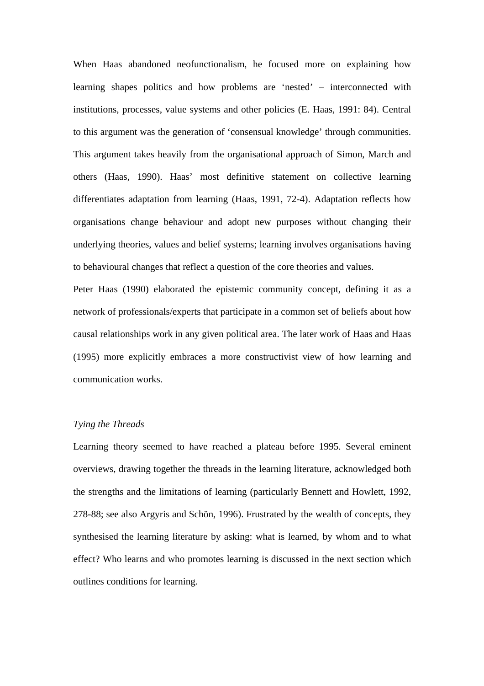When Haas abandoned neofunctionalism, he focused more on explaining how learning shapes politics and how problems are 'nested' – interconnected with institutions, processes, value systems and other policies (E. Haas, 1991: 84). Central to this argument was the generation of 'consensual knowledge' through communities. This argument takes heavily from the organisational approach of Simon, March and others (Haas, 1990). Haas' most definitive statement on collective learning differentiates adaptation from learning (Haas, 1991, 72-4). Adaptation reflects how organisations change behaviour and adopt new purposes without changing their underlying theories, values and belief systems; learning involves organisations having to behavioural changes that reflect a question of the core theories and values.

Peter Haas (1990) elaborated the epistemic community concept, defining it as a network of professionals/experts that participate in a common set of beliefs about how causal relationships work in any given political area. The later work of Haas and Haas (1995) more explicitly embraces a more constructivist view of how learning and communication works.

# *Tying the Threads*

Learning theory seemed to have reached a plateau before 1995. Several eminent overviews, drawing together the threads in the learning literature, acknowledged both the strengths and the limitations of learning (particularly Bennett and Howlett, 1992, 278-88; see also Argyris and Schön, 1996). Frustrated by the wealth of concepts, they synthesised the learning literature by asking: what is learned, by whom and to what effect? Who learns and who promotes learning is discussed in the next section which outlines conditions for learning.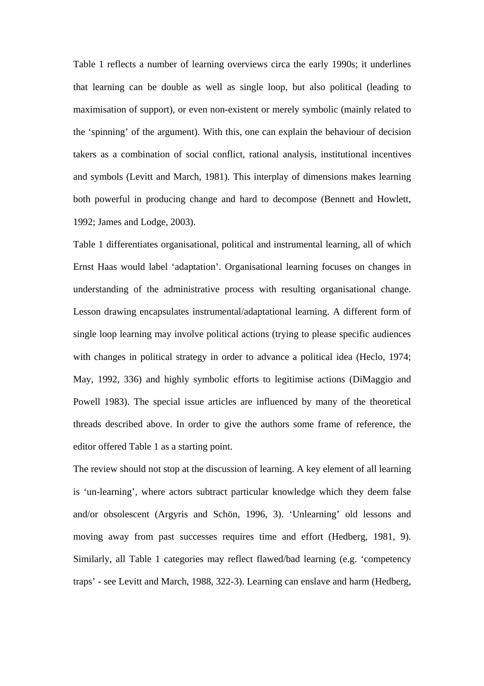Table 1 reflects a number of learning overviews circa the early 1990s; it underlines that learning can be double as well as single loop, but also political (leading to maximisation of support), or even non-existent or merely symbolic (mainly related to the 'spinning' of the argument). With this, one can explain the behaviour of decision takers as a combination of social conflict, rational analysis, institutional incentives and symbols (Levitt and March, 1981). This interplay of dimensions makes learning both powerful in producing change and hard to decompose (Bennett and Howlett, 1992; James and Lodge, 2003).

Table 1 differentiates organisational, political and instrumental learning, all of which Ernst Haas would label 'adaptation'. Organisational learning focuses on changes in understanding of the administrative process with resulting organisational change. Lesson drawing encapsulates instrumental/adaptational learning. A different form of single loop learning may involve political actions (trying to please specific audiences with changes in political strategy in order to advance a political idea (Heclo, 1974; May, 1992, 336) and highly symbolic efforts to legitimise actions (DiMaggio and Powell 1983). The special issue articles are influenced by many of the theoretical threads described above. In order to give the authors some frame of reference, the editor offered Table 1 as a starting point.

The review should not stop at the discussion of learning. A key element of all learning is 'un-learning', where actors subtract particular knowledge which they deem false and/or obsolescent (Argyris and Schön, 1996, 3). 'Unlearning' old lessons and moving away from past successes requires time and effort (Hedberg, 1981, 9). Similarly, all Table 1 categories may reflect flawed/bad learning (e.g. 'competency traps' - see Levitt and March, 1988, 322-3). Learning can enslave and harm (Hedberg,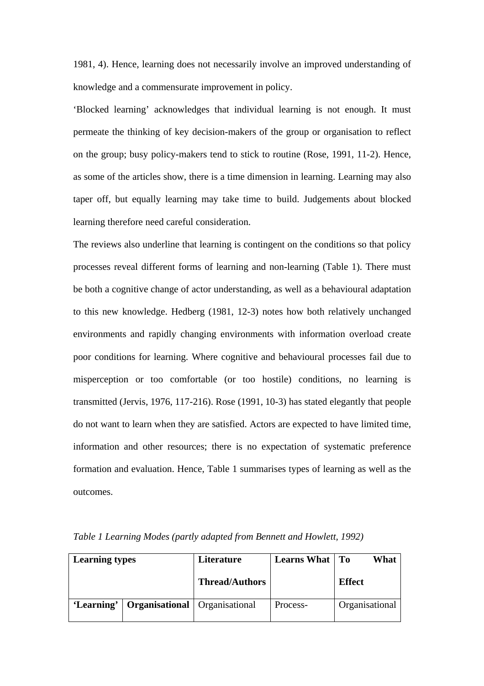1981, 4). Hence, learning does not necessarily involve an improved understanding of knowledge and a commensurate improvement in policy.

'Blocked learning' acknowledges that individual learning is not enough. It must permeate the thinking of key decision-makers of the group or organisation to reflect on the group; busy policy-makers tend to stick to routine (Rose, 1991, 11-2). Hence, as some of the articles show, there is a time dimension in learning. Learning may also taper off, but equally learning may take time to build. Judgements about blocked learning therefore need careful consideration.

The reviews also underline that learning is contingent on the conditions so that policy processes reveal different forms of learning and non-learning (Table 1). There must be both a cognitive change of actor understanding, as well as a behavioural adaptation to this new knowledge. Hedberg (1981, 12-3) notes how both relatively unchanged environments and rapidly changing environments with information overload create poor conditions for learning. Where cognitive and behavioural processes fail due to misperception or too comfortable (or too hostile) conditions, no learning is transmitted (Jervis, 1976, 117-216). Rose (1991, 10-3) has stated elegantly that people do not want to learn when they are satisfied. Actors are expected to have limited time, information and other resources; there is no expectation of systematic preference formation and evaluation. Hence, Table 1 summarises types of learning as well as the outcomes.

| <b>Learning types</b> |                                        | Literature            | <b>Learns What</b>   To | What           |
|-----------------------|----------------------------------------|-----------------------|-------------------------|----------------|
|                       |                                        | <b>Thread/Authors</b> |                         | <b>Effect</b>  |
| 'Learning'            | <b>Organisational</b>   Organisational |                       | Process-                | Organisational |

*Table 1 Learning Modes (partly adapted from Bennett and Howlett, 1992)*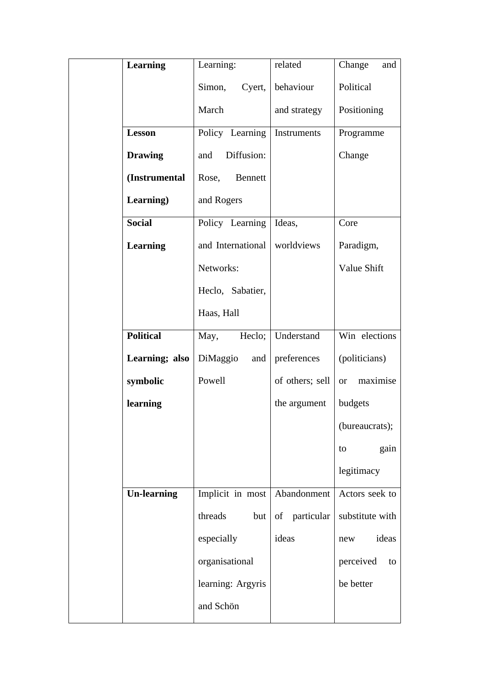| Learning           | Learning:         | related         | Change<br>and         |
|--------------------|-------------------|-----------------|-----------------------|
|                    | Cyert,<br>Simon,  | behaviour       | Political             |
|                    | March             | and strategy    | Positioning           |
| <b>Lesson</b>      | Policy Learning   | Instruments     | Programme             |
| <b>Drawing</b>     | Diffusion:<br>and |                 | Change                |
| (Instrumental      | Rose,<br>Bennett  |                 |                       |
| Learning)          | and Rogers        |                 |                       |
| <b>Social</b>      | Policy Learning   | Ideas,          | Core                  |
| <b>Learning</b>    | and International | worldviews      | Paradigm,             |
|                    | Networks:         |                 | Value Shift           |
|                    | Heclo, Sabatier,  |                 |                       |
|                    | Haas, Hall        |                 |                       |
| <b>Political</b>   | Heclo;<br>May,    | Understand      | Win elections         |
| Learning; also     | DiMaggio<br>and   | preferences     | (politicians)         |
| symbolic           | Powell            | of others; sell | maximise<br><b>or</b> |
| learning           |                   | the argument    | budgets               |
|                    |                   |                 | (bureaucrats);        |
|                    |                   |                 | gain<br>to            |
|                    |                   |                 | legitimacy            |
| <b>Un-learning</b> | Implicit in most  | Abandonment     | Actors seek to        |
|                    | threads<br>but    | of particular   | substitute with       |
|                    | especially        | ideas           | ideas<br>new          |
|                    | organisational    |                 | perceived<br>to       |
|                    | learning: Argyris |                 | be better             |
|                    | and Schön         |                 |                       |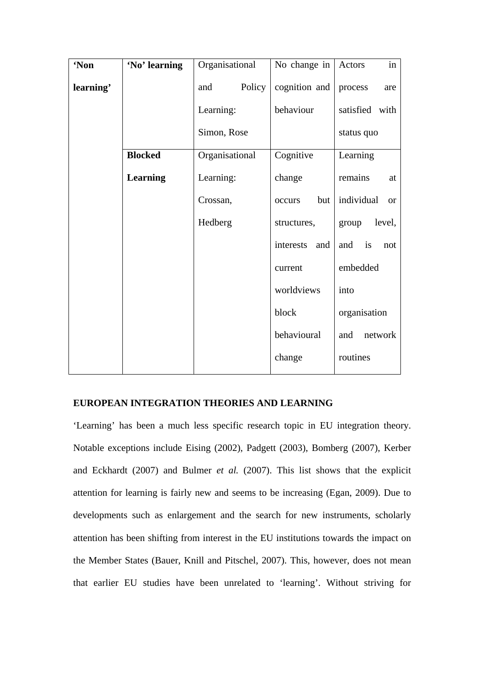| 'Non      | 'No' learning   | Organisational | No change in  | in<br>Actors            |
|-----------|-----------------|----------------|---------------|-------------------------|
| learning' |                 | Policy<br>and  | cognition and | process<br>are          |
|           |                 | Learning:      | behaviour     | satisfied with          |
|           |                 | Simon, Rose    |               | status quo              |
|           | <b>Blocked</b>  | Organisational | Cognitive     | Learning                |
|           | <b>Learning</b> | Learning:      | change        | remains<br>at           |
|           |                 | Crossan,       | but<br>occurs | individual<br><b>or</b> |
|           |                 | Hedberg        | structures,   | level,<br>group         |
|           |                 |                | interests and | is<br>and<br>not        |
|           |                 |                | current       | embedded                |
|           |                 |                | worldviews    | into                    |
|           |                 |                | block         | organisation            |
|           |                 |                | behavioural   | network<br>and          |
|           |                 |                | change        | routines                |

## **EUROPEAN INTEGRATION THEORIES AND LEARNING**

'Learning' has been a much less specific research topic in EU integration theory. Notable exceptions include Eising (2002), Padgett (2003), Bomberg (2007), Kerber and Eckhardt (2007) and Bulmer *et al.* (2007). This list shows that the explicit attention for learning is fairly new and seems to be increasing (Egan, 2009). Due to developments such as enlargement and the search for new instruments, scholarly attention has been shifting from interest in the EU institutions towards the impact on the Member States (Bauer, Knill and Pitschel, 2007). This, however, does not mean that earlier EU studies have been unrelated to 'learning'. Without striving for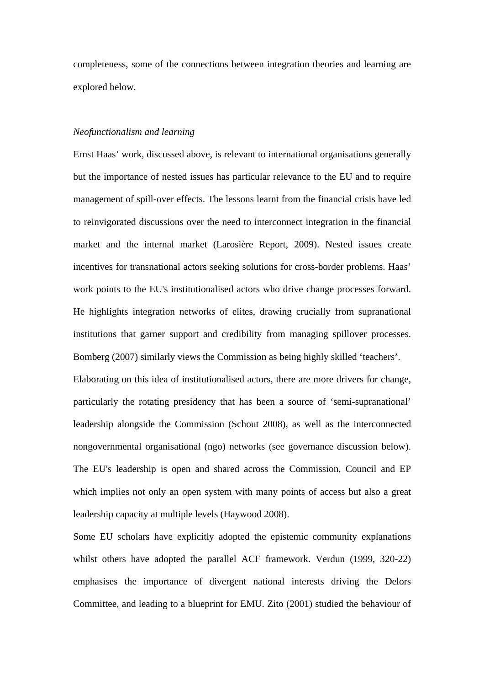completeness, some of the connections between integration theories and learning are explored below.

### *Neofunctionalism and learning*

Ernst Haas' work, discussed above, is relevant to international organisations generally but the importance of nested issues has particular relevance to the EU and to require management of spill-over effects. The lessons learnt from the financial crisis have led to reinvigorated discussions over the need to interconnect integration in the financial market and the internal market (Larosière Report, 2009). Nested issues create incentives for transnational actors seeking solutions for cross-border problems. Haas' work points to the EU's institutionalised actors who drive change processes forward. He highlights integration networks of elites, drawing crucially from supranational institutions that garner support and credibility from managing spillover processes. Bomberg (2007) similarly views the Commission as being highly skilled 'teachers'. Elaborating on this idea of institutionalised actors, there are more drivers for change, particularly the rotating presidency that has been a source of 'semi-supranational' leadership alongside the Commission (Schout 2008), as well as the interconnected nongovernmental organisational (ngo) networks (see governance discussion below). The EU's leadership is open and shared across the Commission, Council and EP which implies not only an open system with many points of access but also a great leadership capacity at multiple levels (Haywood 2008).

Some EU scholars have explicitly adopted the epistemic community explanations whilst others have adopted the parallel ACF framework. Verdun (1999, 320-22) emphasises the importance of divergent national interests driving the Delors Committee, and leading to a blueprint for EMU. Zito (2001) studied the behaviour of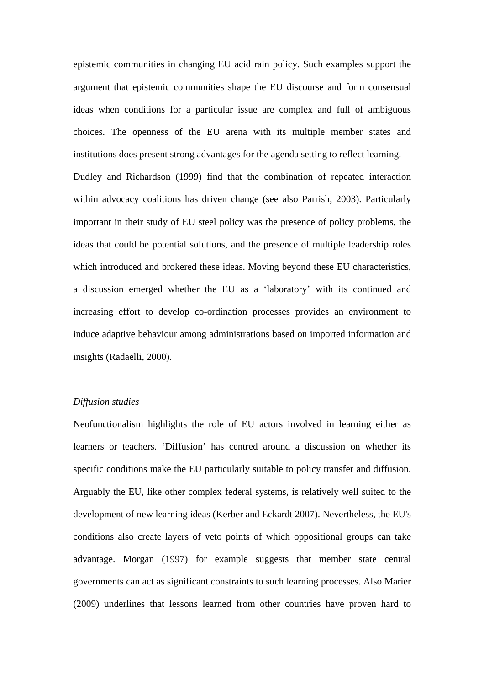epistemic communities in changing EU acid rain policy. Such examples support the argument that epistemic communities shape the EU discourse and form consensual ideas when conditions for a particular issue are complex and full of ambiguous choices. The openness of the EU arena with its multiple member states and institutions does present strong advantages for the agenda setting to reflect learning. Dudley and Richardson (1999) find that the combination of repeated interaction within advocacy coalitions has driven change (see also Parrish, 2003). Particularly important in their study of EU steel policy was the presence of policy problems, the ideas that could be potential solutions, and the presence of multiple leadership roles which introduced and brokered these ideas. Moving beyond these EU characteristics, a discussion emerged whether the EU as a 'laboratory' with its continued and increasing effort to develop co-ordination processes provides an environment to induce adaptive behaviour among administrations based on imported information and insights (Radaelli, 2000).

## *Diffusion studies*

Neofunctionalism highlights the role of EU actors involved in learning either as learners or teachers. 'Diffusion' has centred around a discussion on whether its specific conditions make the EU particularly suitable to policy transfer and diffusion. Arguably the EU, like other complex federal systems, is relatively well suited to the development of new learning ideas (Kerber and Eckardt 2007). Nevertheless, the EU's conditions also create layers of veto points of which oppositional groups can take advantage. Morgan (1997) for example suggests that member state central governments can act as significant constraints to such learning processes. Also Marier (2009) underlines that lessons learned from other countries have proven hard to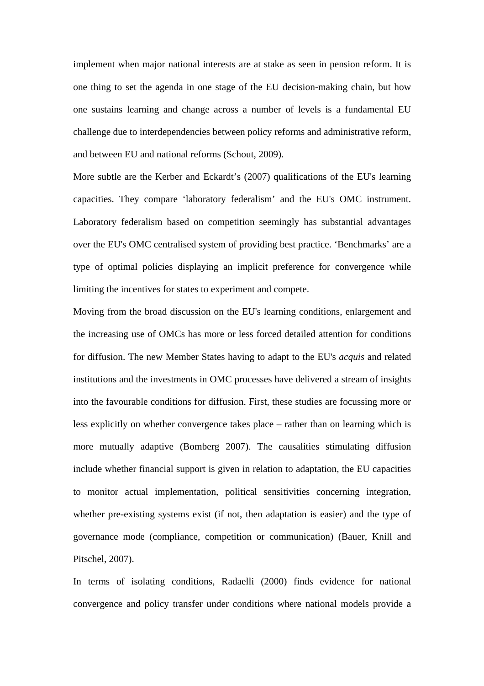implement when major national interests are at stake as seen in pension reform. It is one thing to set the agenda in one stage of the EU decision-making chain, but how one sustains learning and change across a number of levels is a fundamental EU challenge due to interdependencies between policy reforms and administrative reform, and between EU and national reforms (Schout, 2009).

More subtle are the Kerber and Eckardt's (2007) qualifications of the EU's learning capacities. They compare 'laboratory federalism' and the EU's OMC instrument. Laboratory federalism based on competition seemingly has substantial advantages over the EU's OMC centralised system of providing best practice. 'Benchmarks' are a type of optimal policies displaying an implicit preference for convergence while limiting the incentives for states to experiment and compete.

Moving from the broad discussion on the EU's learning conditions, enlargement and the increasing use of OMCs has more or less forced detailed attention for conditions for diffusion. The new Member States having to adapt to the EU's *acquis* and related institutions and the investments in OMC processes have delivered a stream of insights into the favourable conditions for diffusion. First, these studies are focussing more or less explicitly on whether convergence takes place – rather than on learning which is more mutually adaptive (Bomberg 2007). The causalities stimulating diffusion include whether financial support is given in relation to adaptation, the EU capacities to monitor actual implementation, political sensitivities concerning integration, whether pre-existing systems exist (if not, then adaptation is easier) and the type of governance mode (compliance, competition or communication) (Bauer, Knill and Pitschel, 2007).

In terms of isolating conditions, Radaelli (2000) finds evidence for national convergence and policy transfer under conditions where national models provide a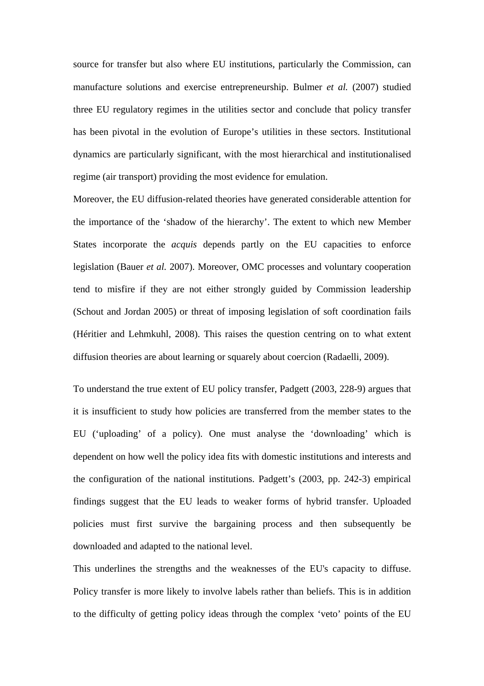source for transfer but also where EU institutions, particularly the Commission, can manufacture solutions and exercise entrepreneurship. Bulmer *et al.* (2007) studied three EU regulatory regimes in the utilities sector and conclude that policy transfer has been pivotal in the evolution of Europe's utilities in these sectors. Institutional dynamics are particularly significant, with the most hierarchical and institutionalised regime (air transport) providing the most evidence for emulation.

Moreover, the EU diffusion-related theories have generated considerable attention for the importance of the 'shadow of the hierarchy'. The extent to which new Member States incorporate the *acquis* depends partly on the EU capacities to enforce legislation (Bauer *et al.* 2007). Moreover, OMC processes and voluntary cooperation tend to misfire if they are not either strongly guided by Commission leadership (Schout and Jordan 2005) or threat of imposing legislation of soft coordination fails (Héritier and Lehmkuhl, 2008). This raises the question centring on to what extent diffusion theories are about learning or squarely about coercion (Radaelli, 2009).

To understand the true extent of EU policy transfer, Padgett (2003, 228-9) argues that it is insufficient to study how policies are transferred from the member states to the EU ('uploading' of a policy). One must analyse the 'downloading' which is dependent on how well the policy idea fits with domestic institutions and interests and the configuration of the national institutions. Padgett's (2003, pp. 242-3) empirical findings suggest that the EU leads to weaker forms of hybrid transfer. Uploaded policies must first survive the bargaining process and then subsequently be downloaded and adapted to the national level.

This underlines the strengths and the weaknesses of the EU's capacity to diffuse. Policy transfer is more likely to involve labels rather than beliefs. This is in addition to the difficulty of getting policy ideas through the complex 'veto' points of the EU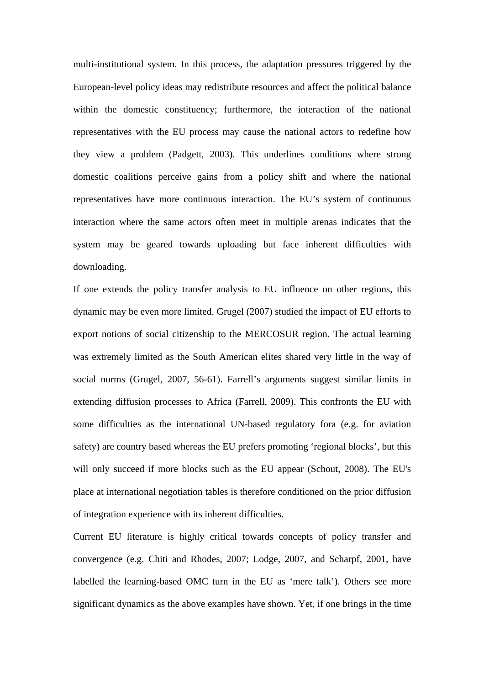multi-institutional system. In this process, the adaptation pressures triggered by the European-level policy ideas may redistribute resources and affect the political balance within the domestic constituency; furthermore, the interaction of the national representatives with the EU process may cause the national actors to redefine how they view a problem (Padgett, 2003). This underlines conditions where strong domestic coalitions perceive gains from a policy shift and where the national representatives have more continuous interaction. The EU's system of continuous interaction where the same actors often meet in multiple arenas indicates that the system may be geared towards uploading but face inherent difficulties with downloading.

If one extends the policy transfer analysis to EU influence on other regions, this dynamic may be even more limited. Grugel (2007) studied the impact of EU efforts to export notions of social citizenship to the MERCOSUR region. The actual learning was extremely limited as the South American elites shared very little in the way of social norms (Grugel, 2007, 56-61). Farrell's arguments suggest similar limits in extending diffusion processes to Africa (Farrell, 2009). This confronts the EU with some difficulties as the international UN-based regulatory fora (e.g. for aviation safety) are country based whereas the EU prefers promoting 'regional blocks', but this will only succeed if more blocks such as the EU appear (Schout, 2008). The EU's place at international negotiation tables is therefore conditioned on the prior diffusion of integration experience with its inherent difficulties.

Current EU literature is highly critical towards concepts of policy transfer and convergence (e.g. Chiti and Rhodes, 2007; Lodge, 2007, and Scharpf, 2001, have labelled the learning-based OMC turn in the EU as 'mere talk'). Others see more significant dynamics as the above examples have shown. Yet, if one brings in the time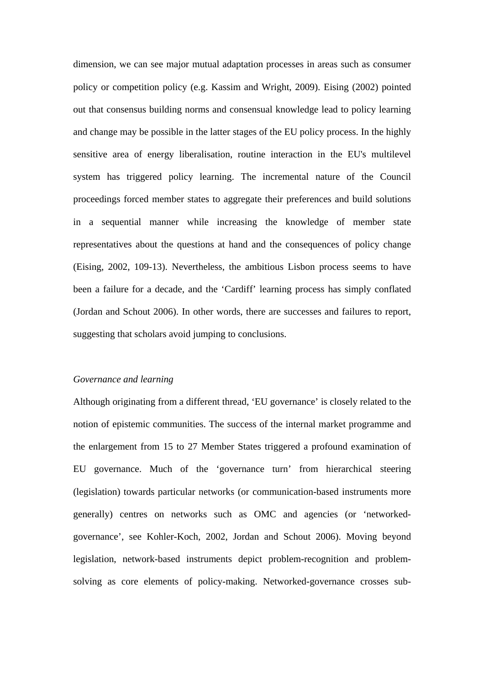dimension, we can see major mutual adaptation processes in areas such as consumer policy or competition policy (e.g. Kassim and Wright, 2009). Eising (2002) pointed out that consensus building norms and consensual knowledge lead to policy learning and change may be possible in the latter stages of the EU policy process. In the highly sensitive area of energy liberalisation, routine interaction in the EU's multilevel system has triggered policy learning. The incremental nature of the Council proceedings forced member states to aggregate their preferences and build solutions in a sequential manner while increasing the knowledge of member state representatives about the questions at hand and the consequences of policy change (Eising, 2002, 109-13). Nevertheless, the ambitious Lisbon process seems to have been a failure for a decade, and the 'Cardiff' learning process has simply conflated (Jordan and Schout 2006). In other words, there are successes and failures to report, suggesting that scholars avoid jumping to conclusions.

## *Governance and learning*

Although originating from a different thread, 'EU governance' is closely related to the notion of epistemic communities. The success of the internal market programme and the enlargement from 15 to 27 Member States triggered a profound examination of EU governance. Much of the 'governance turn' from hierarchical steering (legislation) towards particular networks (or communication-based instruments more generally) centres on networks such as OMC and agencies (or 'networkedgovernance', see Kohler-Koch, 2002, Jordan and Schout 2006). Moving beyond legislation, network-based instruments depict problem-recognition and problemsolving as core elements of policy-making. Networked-governance crosses sub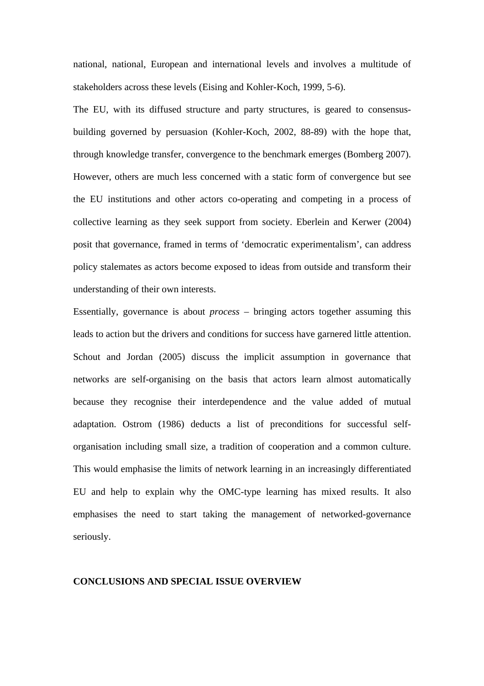national, national, European and international levels and involves a multitude of stakeholders across these levels (Eising and Kohler-Koch, 1999, 5-6).

The EU, with its diffused structure and party structures, is geared to consensusbuilding governed by persuasion (Kohler-Koch, 2002, 88-89) with the hope that, through knowledge transfer, convergence to the benchmark emerges (Bomberg 2007). However, others are much less concerned with a static form of convergence but see the EU institutions and other actors co-operating and competing in a process of collective learning as they seek support from society. Eberlein and Kerwer (2004) posit that governance, framed in terms of 'democratic experimentalism', can address policy stalemates as actors become exposed to ideas from outside and transform their understanding of their own interests.

Essentially, governance is about *process* – bringing actors together assuming this leads to action but the drivers and conditions for success have garnered little attention. Schout and Jordan (2005) discuss the implicit assumption in governance that networks are self-organising on the basis that actors learn almost automatically because they recognise their interdependence and the value added of mutual adaptation. Ostrom (1986) deducts a list of preconditions for successful selforganisation including small size, a tradition of cooperation and a common culture. This would emphasise the limits of network learning in an increasingly differentiated EU and help to explain why the OMC-type learning has mixed results. It also emphasises the need to start taking the management of networked-governance seriously.

### **CONCLUSIONS AND SPECIAL ISSUE OVERVIEW**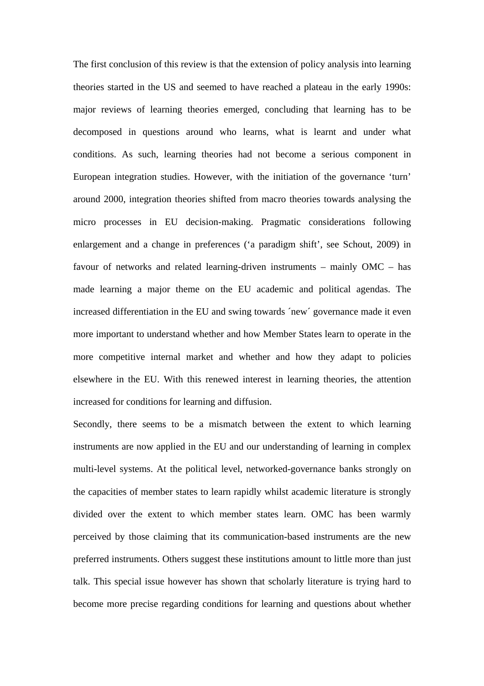The first conclusion of this review is that the extension of policy analysis into learning theories started in the US and seemed to have reached a plateau in the early 1990s: major reviews of learning theories emerged, concluding that learning has to be decomposed in questions around who learns, what is learnt and under what conditions. As such, learning theories had not become a serious component in European integration studies. However, with the initiation of the governance 'turn' around 2000, integration theories shifted from macro theories towards analysing the micro processes in EU decision-making. Pragmatic considerations following enlargement and a change in preferences ('a paradigm shift', see Schout, 2009) in favour of networks and related learning-driven instruments – mainly OMC – has made learning a major theme on the EU academic and political agendas. The increased differentiation in the EU and swing towards ´new´ governance made it even more important to understand whether and how Member States learn to operate in the more competitive internal market and whether and how they adapt to policies elsewhere in the EU. With this renewed interest in learning theories, the attention increased for conditions for learning and diffusion.

Secondly, there seems to be a mismatch between the extent to which learning instruments are now applied in the EU and our understanding of learning in complex multi-level systems. At the political level, networked-governance banks strongly on the capacities of member states to learn rapidly whilst academic literature is strongly divided over the extent to which member states learn. OMC has been warmly perceived by those claiming that its communication-based instruments are the new preferred instruments. Others suggest these institutions amount to little more than just talk. This special issue however has shown that scholarly literature is trying hard to become more precise regarding conditions for learning and questions about whether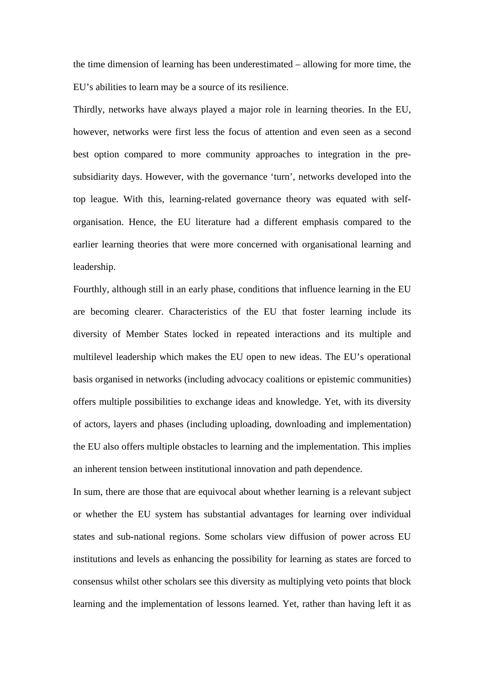the time dimension of learning has been underestimated – allowing for more time, the EU's abilities to learn may be a source of its resilience.

Thirdly, networks have always played a major role in learning theories. In the EU, however, networks were first less the focus of attention and even seen as a second best option compared to more community approaches to integration in the presubsidiarity days. However, with the governance 'turn', networks developed into the top league. With this, learning-related governance theory was equated with selforganisation. Hence, the EU literature had a different emphasis compared to the earlier learning theories that were more concerned with organisational learning and leadership.

Fourthly, although still in an early phase, conditions that influence learning in the EU are becoming clearer. Characteristics of the EU that foster learning include its diversity of Member States locked in repeated interactions and its multiple and multilevel leadership which makes the EU open to new ideas. The EU's operational basis organised in networks (including advocacy coalitions or epistemic communities) offers multiple possibilities to exchange ideas and knowledge. Yet, with its diversity of actors, layers and phases (including uploading, downloading and implementation) the EU also offers multiple obstacles to learning and the implementation. This implies an inherent tension between institutional innovation and path dependence.

In sum, there are those that are equivocal about whether learning is a relevant subject or whether the EU system has substantial advantages for learning over individual states and sub-national regions. Some scholars view diffusion of power across EU institutions and levels as enhancing the possibility for learning as states are forced to consensus whilst other scholars see this diversity as multiplying veto points that block learning and the implementation of lessons learned. Yet, rather than having left it as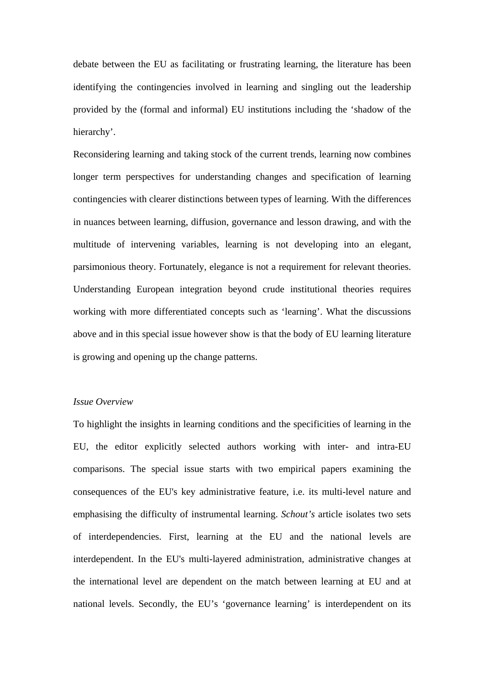debate between the EU as facilitating or frustrating learning, the literature has been identifying the contingencies involved in learning and singling out the leadership provided by the (formal and informal) EU institutions including the 'shadow of the hierarchy'.

Reconsidering learning and taking stock of the current trends, learning now combines longer term perspectives for understanding changes and specification of learning contingencies with clearer distinctions between types of learning. With the differences in nuances between learning, diffusion, governance and lesson drawing, and with the multitude of intervening variables, learning is not developing into an elegant, parsimonious theory. Fortunately, elegance is not a requirement for relevant theories. Understanding European integration beyond crude institutional theories requires working with more differentiated concepts such as 'learning'. What the discussions above and in this special issue however show is that the body of EU learning literature is growing and opening up the change patterns.

## *Issue Overview*

To highlight the insights in learning conditions and the specificities of learning in the EU, the editor explicitly selected authors working with inter- and intra-EU comparisons. The special issue starts with two empirical papers examining the consequences of the EU's key administrative feature, i.e. its multi-level nature and emphasising the difficulty of instrumental learning. *Schout's* article isolates two sets of interdependencies. First, learning at the EU and the national levels are interdependent. In the EU's multi-layered administration, administrative changes at the international level are dependent on the match between learning at EU and at national levels. Secondly, the EU's 'governance learning' is interdependent on its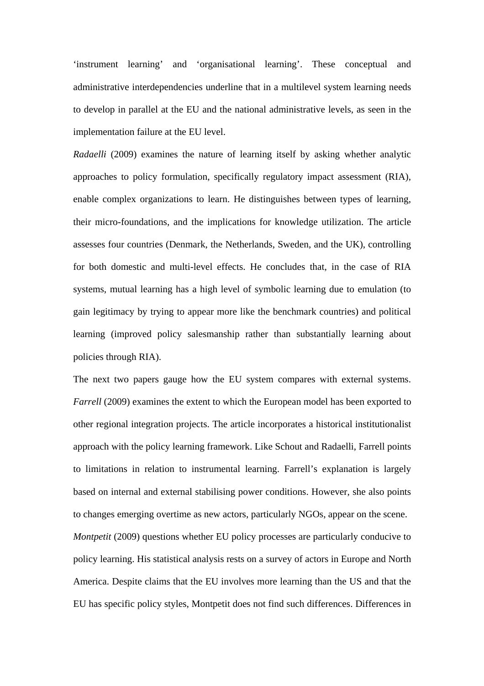'instrument learning' and 'organisational learning'. These conceptual and administrative interdependencies underline that in a multilevel system learning needs to develop in parallel at the EU and the national administrative levels, as seen in the implementation failure at the EU level.

*Radaelli* (2009) examines the nature of learning itself by asking whether analytic approaches to policy formulation, specifically regulatory impact assessment (RIA), enable complex organizations to learn. He distinguishes between types of learning, their micro-foundations, and the implications for knowledge utilization. The article assesses four countries (Denmark, the Netherlands, Sweden, and the UK), controlling for both domestic and multi-level effects. He concludes that, in the case of RIA systems, mutual learning has a high level of symbolic learning due to emulation (to gain legitimacy by trying to appear more like the benchmark countries) and political learning (improved policy salesmanship rather than substantially learning about policies through RIA).

The next two papers gauge how the EU system compares with external systems. *Farrell* (2009) examines the extent to which the European model has been exported to other regional integration projects. The article incorporates a historical institutionalist approach with the policy learning framework. Like Schout and Radaelli, Farrell points to limitations in relation to instrumental learning. Farrell's explanation is largely based on internal and external stabilising power conditions. However, she also points to changes emerging overtime as new actors, particularly NGOs, appear on the scene. *Montpetit* (2009) questions whether EU policy processes are particularly conducive to policy learning. His statistical analysis rests on a survey of actors in Europe and North America. Despite claims that the EU involves more learning than the US and that the EU has specific policy styles, Montpetit does not find such differences. Differences in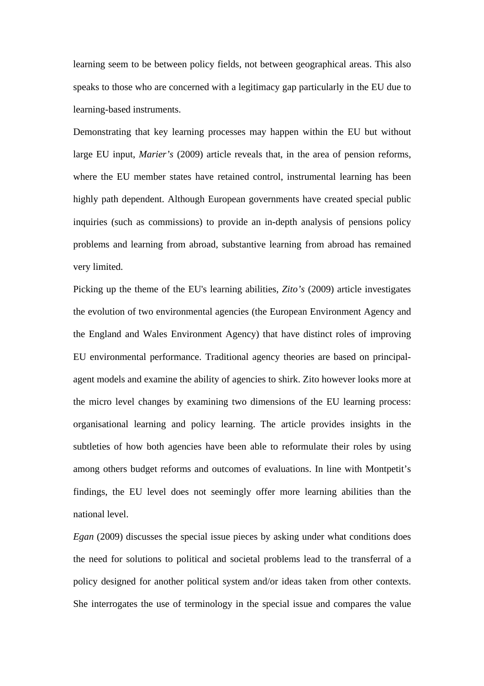learning seem to be between policy fields, not between geographical areas. This also speaks to those who are concerned with a legitimacy gap particularly in the EU due to learning-based instruments.

Demonstrating that key learning processes may happen within the EU but without large EU input, *Marier's* (2009) article reveals that, in the area of pension reforms, where the EU member states have retained control, instrumental learning has been highly path dependent. Although European governments have created special public inquiries (such as commissions) to provide an in-depth analysis of pensions policy problems and learning from abroad, substantive learning from abroad has remained very limited.

Picking up the theme of the EU's learning abilities, *Zito's* (2009) article investigates the evolution of two environmental agencies (the European Environment Agency and the England and Wales Environment Agency) that have distinct roles of improving EU environmental performance. Traditional agency theories are based on principalagent models and examine the ability of agencies to shirk. Zito however looks more at the micro level changes by examining two dimensions of the EU learning process: organisational learning and policy learning. The article provides insights in the subtleties of how both agencies have been able to reformulate their roles by using among others budget reforms and outcomes of evaluations. In line with Montpetit's findings, the EU level does not seemingly offer more learning abilities than the national level.

*Egan* (2009) discusses the special issue pieces by asking under what conditions does the need for solutions to political and societal problems lead to the transferral of a policy designed for another political system and/or ideas taken from other contexts. She interrogates the use of terminology in the special issue and compares the value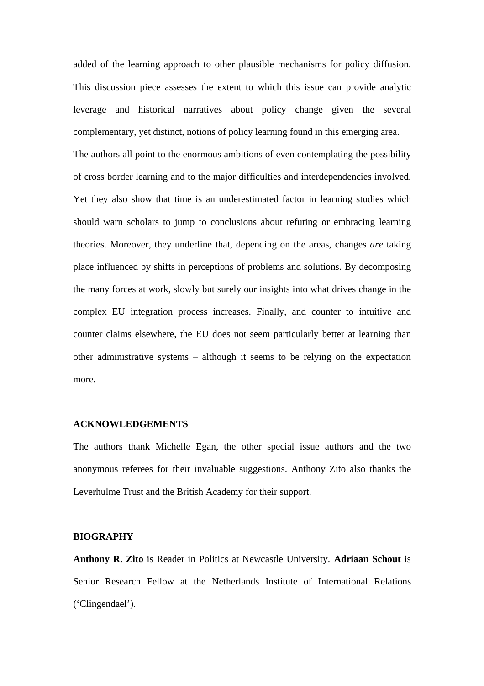added of the learning approach to other plausible mechanisms for policy diffusion. This discussion piece assesses the extent to which this issue can provide analytic leverage and historical narratives about policy change given the several complementary, yet distinct, notions of policy learning found in this emerging area.

The authors all point to the enormous ambitions of even contemplating the possibility of cross border learning and to the major difficulties and interdependencies involved. Yet they also show that time is an underestimated factor in learning studies which should warn scholars to jump to conclusions about refuting or embracing learning theories. Moreover, they underline that, depending on the areas, changes *are* taking place influenced by shifts in perceptions of problems and solutions. By decomposing the many forces at work, slowly but surely our insights into what drives change in the complex EU integration process increases. Finally, and counter to intuitive and counter claims elsewhere, the EU does not seem particularly better at learning than other administrative systems – although it seems to be relying on the expectation more.

## **ACKNOWLEDGEMENTS**

The authors thank Michelle Egan, the other special issue authors and the two anonymous referees for their invaluable suggestions. Anthony Zito also thanks the Leverhulme Trust and the British Academy for their support.

#### **BIOGRAPHY**

**Anthony R. Zito** is Reader in Politics at Newcastle University. **Adriaan Schout** is Senior Research Fellow at the Netherlands Institute of International Relations ('Clingendael').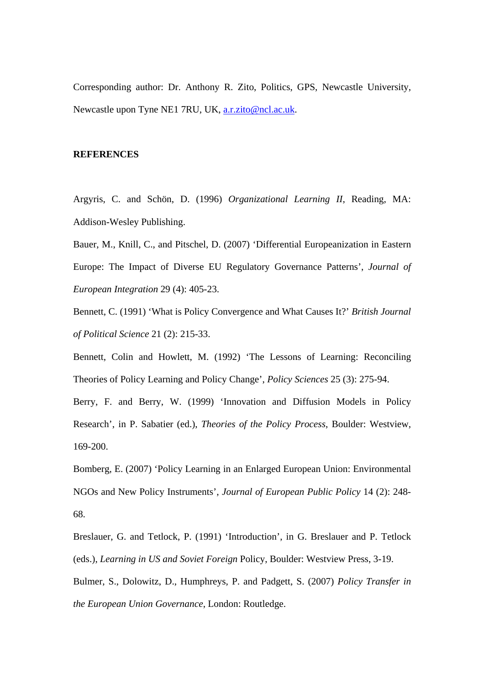Corresponding author: Dr. Anthony R. Zito, Politics, GPS, Newcastle University, Newcastle upon Tyne NE1 7RU, UK, a.r.zito@ncl.ac.uk.

### **REFERENCES**

Argyris, C. and Schön, D. (1996) *Organizational Learning II*, Reading, MA: Addison-Wesley Publishing.

Bauer, M., Knill, C., and Pitschel, D. (2007) 'Differential Europeanization in Eastern Europe: The Impact of Diverse EU Regulatory Governance Patterns', *Journal of European Integration* 29 (4): 405-23.

Bennett, C. (1991) 'What is Policy Convergence and What Causes It?' *British Journal of Political Science* 21 (2): 215-33.

Bennett, Colin and Howlett, M. (1992) 'The Lessons of Learning: Reconciling Theories of Policy Learning and Policy Change', *Policy Sciences* 25 (3): 275-94.

Berry, F. and Berry, W. (1999) 'Innovation and Diffusion Models in Policy Research', in P. Sabatier (ed.), *Theories of the Policy Process*, Boulder: Westview, 169-200.

Bomberg, E. (2007) 'Policy Learning in an Enlarged European Union: Environmental NGOs and New Policy Instruments', *Journal of European Public Policy* 14 (2): 248- 68.

Breslauer, G. and Tetlock, P. (1991) 'Introduction', in G. Breslauer and P. Tetlock (eds.), *Learning in US and Soviet Foreign* Policy, Boulder: Westview Press, 3-19.

Bulmer, S., Dolowitz, D., Humphreys, P. and Padgett, S. (2007) *Policy Transfer in the European Union Governance*, London: Routledge.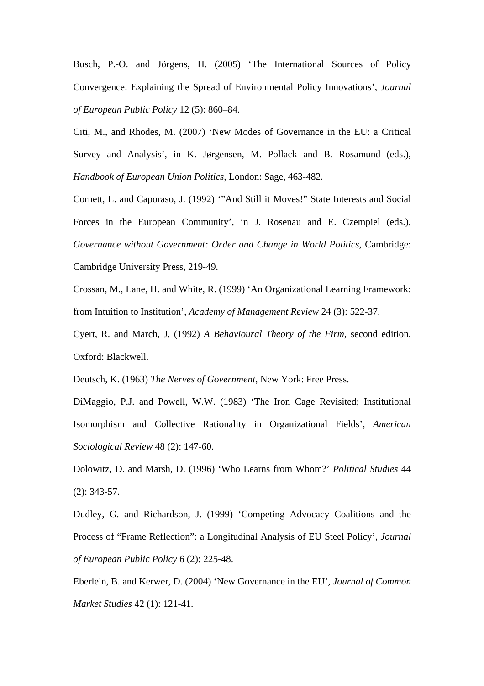Busch, P.-O. and Jörgens, H. (2005) 'The International Sources of Policy Convergence: Explaining the Spread of Environmental Policy Innovations', *Journal of European Public Policy* 12 (5): 860–84.

Citi, M., and Rhodes, M. (2007) 'New Modes of Governance in the EU: a Critical Survey and Analysis', in K. Jørgensen, M. Pollack and B. Rosamund (eds.), *Handbook of European Union Politics,* London: Sage, 463-482.

Cornett, L. and Caporaso, J. (1992) '"And Still it Moves!" State Interests and Social Forces in the European Community', in J. Rosenau and E. Czempiel (eds.), *Governance without Government: Order and Change in World Politics*, Cambridge: Cambridge University Press, 219-49.

Crossan, M., Lane, H. and White, R. (1999) 'An Organizational Learning Framework: from Intuition to Institution', *Academy of Management Review* 24 (3): 522-37.

Cyert, R. and March, J. (1992) *A Behavioural Theory of the Firm*, second edition, Oxford: Blackwell.

Deutsch, K. (1963) *The Nerves of Government*, New York: Free Press.

DiMaggio, P.J. and Powell, W.W. (1983) 'The Iron Cage Revisited; Institutional Isomorphism and Collective Rationality in Organizational Fields', *American Sociological Review* 48 (2): 147-60.

Dolowitz, D. and Marsh, D. (1996) 'Who Learns from Whom?' *Political Studies* 44 (2): 343-57.

Dudley, G. and Richardson, J. (1999) 'Competing Advocacy Coalitions and the Process of "Frame Reflection": a Longitudinal Analysis of EU Steel Policy', *Journal of European Public Policy* 6 (2): 225-48.

Eberlein, B. and Kerwer, D. (2004) 'New Governance in the EU', *Journal of Common Market Studies* 42 (1): 121-41.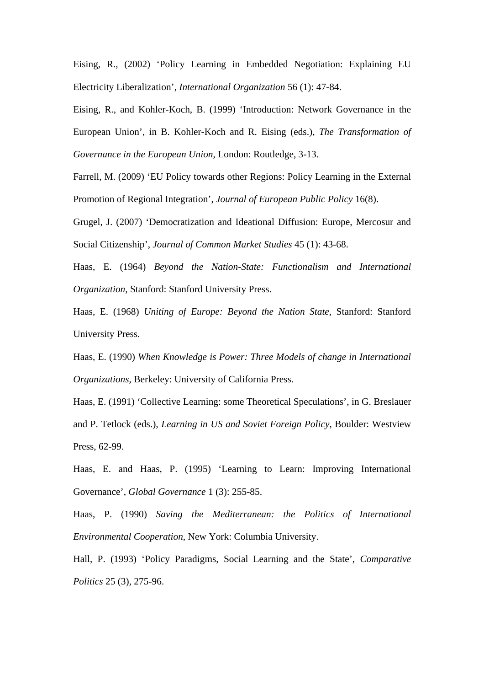Eising, R., (2002) 'Policy Learning in Embedded Negotiation: Explaining EU Electricity Liberalization', *International Organization* 56 (1): 47-84.

Eising, R., and Kohler-Koch, B. (1999) 'Introduction: Network Governance in the European Union', in B. Kohler-Koch and R. Eising (eds.), *The Transformation of Governance in the European Union*, London: Routledge, 3-13.

Farrell, M. (2009) 'EU Policy towards other Regions: Policy Learning in the External Promotion of Regional Integration', *Journal of European Public Policy* 16(8).

Grugel, J. (2007) 'Democratization and Ideational Diffusion: Europe, Mercosur and Social Citizenship', *Journal of Common Market Studies* 45 (1): 43-68.

Haas, E. (1964) *Beyond the Nation-State: Functionalism and International Organization*, Stanford: Stanford University Press.

Haas, E. (1968) *Uniting of Europe: Beyond the Nation State*, Stanford: Stanford University Press.

Haas, E. (1990) *When Knowledge is Power: Three Models of change in International Organizations*, Berkeley: University of California Press.

Haas, E. (1991) 'Collective Learning: some Theoretical Speculations', in G. Breslauer and P. Tetlock (eds.), *Learning in US and Soviet Foreign Policy*, Boulder: Westview Press, 62-99.

Haas, E. and Haas, P. (1995) 'Learning to Learn: Improving International Governance', *Global Governance* 1 (3): 255-85.

Haas, P. (1990) *Saving the Mediterranean: the Politics of International Environmental Cooperation*, New York: Columbia University.

Hall, P. (1993) 'Policy Paradigms, Social Learning and the State', *Comparative Politics* 25 (3), 275-96.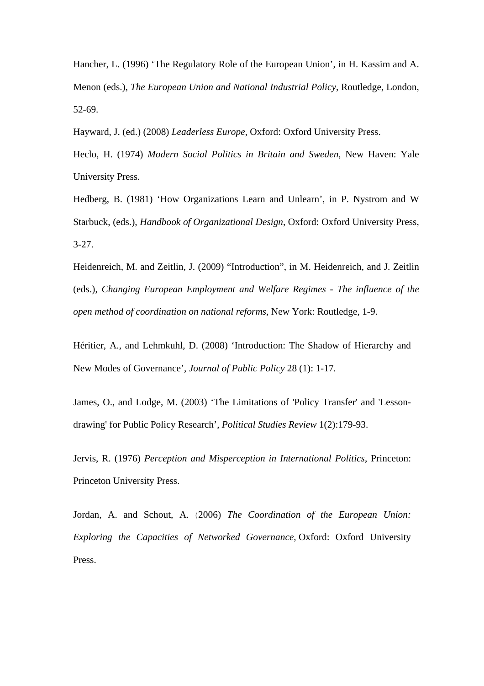Hancher, L. (1996) 'The Regulatory Role of the European Union', in H. Kassim and A. Menon (eds.), *The European Union and National Industrial Policy*, Routledge, London, 52-69.

Hayward, J. (ed.) (2008) *Leaderless Europe*, Oxford: Oxford University Press.

Heclo, H. (1974) *Modern Social Politics in Britain and Sweden*, New Haven: Yale University Press.

Hedberg, B. (1981) 'How Organizations Learn and Unlearn', in P. Nystrom and W Starbuck, (eds.), *Handbook of Organizational Design*, Oxford: Oxford University Press, 3-27.

Heidenreich, M. and Zeitlin, J. (2009) "Introduction", in M. Heidenreich, and J. Zeitlin (eds.), *Changing European Employment and Welfare Regimes - The influence of the open method of coordination on national reforms*, New York: Routledge, 1-9.

Héritier, A., and Lehmkuhl, D. (2008) 'Introduction: The Shadow of Hierarchy and New Modes of Governance', *Journal of Public Policy* 28 (1): 1-17*.* 

James, O., and Lodge, M. (2003) 'The Limitations of 'Policy Transfer' and 'Lessondrawing' for Public Policy Research', *Political Studies Review* 1(2):179-93.

Jervis, R. (1976) *Perception and Misperception in International Politics*, Princeton: Princeton University Press.

Jordan, A. and Schout, A. (2006) *The Coordination of the European Union: Exploring the Capacities of Networked Governance*, Oxford: Oxford University Press.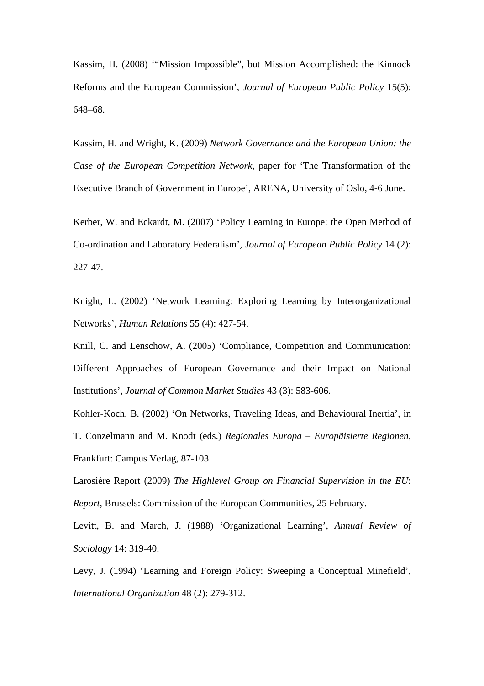Kassim, H. (2008) '"Mission Impossible", but Mission Accomplished: the Kinnock Reforms and the European Commission', *Journal of European Public Policy* 15(5): 648–68.

Kassim, H. and Wright, K. (2009) *Network Governance and the European Union: the Case of the European Competition Network,* paper for 'The Transformation of the Executive Branch of Government in Europe', ARENA, University of Oslo, 4-6 June.

Kerber, W. and Eckardt, M. (2007) 'Policy Learning in Europe: the Open Method of Co-ordination and Laboratory Federalism', *Journal of European Public Policy* 14 (2): 227-47.

Knight, L. (2002) 'Network Learning: Exploring Learning by Interorganizational Networks', *Human Relations* 55 (4): 427-54.

Knill, C. and Lenschow, A. (2005) 'Compliance, Competition and Communication: Different Approaches of European Governance and their Impact on National Institutions', *Journal of Common Market Studies* 43 (3): 583-606.

Kohler-Koch, B. (2002) 'On Networks, Traveling Ideas, and Behavioural Inertia', in T. Conzelmann and M. Knodt (eds.) *Regionales Europa – Europäisierte Regionen*, Frankfurt: Campus Verlag, 87-103.

Larosière Report (2009) *The Highlevel Group on Financial Supervision in the EU*: *Report*, Brussels: Commission of the European Communities, 25 February.

Levitt, B. and March, J. (1988) 'Organizational Learning', *Annual Review of Sociology* 14: 319-40.

Levy, J. (1994) 'Learning and Foreign Policy: Sweeping a Conceptual Minefield', *International Organization* 48 (2): 279-312.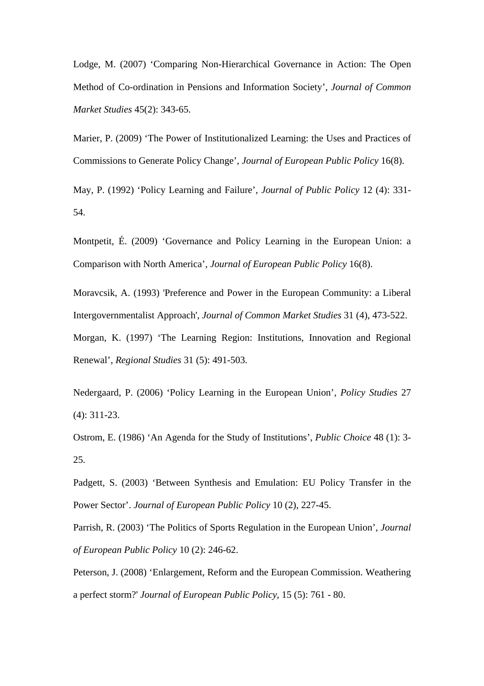Lodge, M. (2007) 'Comparing Non-Hierarchical Governance in Action: The Open Method of Co-ordination in Pensions and Information Society', *Journal of Common Market Studies* 45(2): 343-65.

Marier, P. (2009) 'The Power of Institutionalized Learning: the Uses and Practices of Commissions to Generate Policy Change', *Journal of European Public Policy* 16(8).

May, P. (1992) 'Policy Learning and Failure', *Journal of Public Policy* 12 (4): 331- 54.

Montpetit, É. (2009) 'Governance and Policy Learning in the European Union: a Comparison with North America', *Journal of European Public Policy* 16(8).

Moravcsik, A. (1993) 'Preference and Power in the European Community: a Liberal Intergovernmentalist Approach', *Journal of Common Market Studies* 31 (4), 473-522.

Morgan, K. (1997) 'The Learning Region: Institutions, Innovation and Regional Renewal', *Regional Studies* 31 (5): 491-503.

Nedergaard, P. (2006) 'Policy Learning in the European Union', *Policy Studies* 27 (4): 311-23.

Ostrom, E. (1986) 'An Agenda for the Study of Institutions', *Public Choice* 48 (1): 3- 25.

Padgett, S. (2003) 'Between Synthesis and Emulation: EU Policy Transfer in the Power Sector'. *Journal of European Public Policy* 10 (2), 227-45.

Parrish, R. (2003) 'The Politics of Sports Regulation in the European Union', *Journal of European Public Policy* 10 (2): 246-62.

Peterson, J. (2008) 'Enlargement, Reform and the European Commission. Weathering a perfect storm?' *Journal of European Public Policy*, 15 (5): 761 - 80.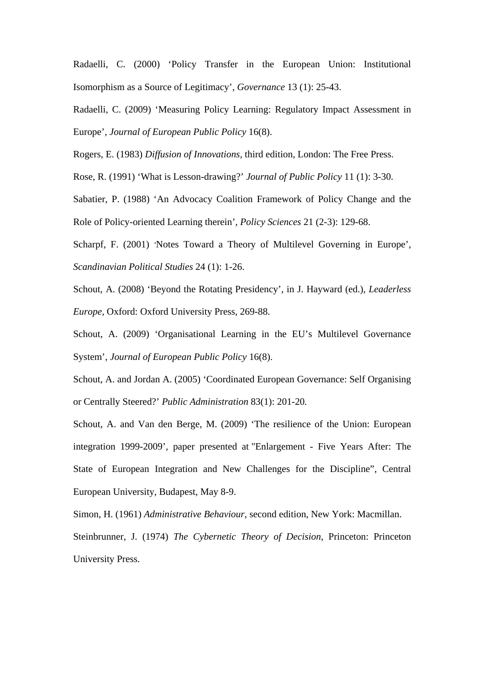Radaelli, C. (2000) 'Policy Transfer in the European Union: Institutional Isomorphism as a Source of Legitimacy', *Governance* 13 (1): 25-43.

Radaelli, C. (2009) 'Measuring Policy Learning: Regulatory Impact Assessment in Europe', *Journal of European Public Policy* 16(8).

Rogers, E. (1983) *Diffusion of Innovations,* third edition, London: The Free Press.

Rose, R. (1991) 'What is Lesson-drawing?' *Journal of Public Policy* 11 (1): 3-30.

Sabatier, P. (1988) 'An Advocacy Coalition Framework of Policy Change and the Role of Policy-oriented Learning therein', *Policy Sciences* 21 (2-3): 129-68.

Scharpf, F. (2001) 'Notes Toward a Theory of Multilevel Governing in Europe', *Scandinavian Political Studies* 24 (1): 1-26.

Schout, A. (2008) 'Beyond the Rotating Presidency', in J. Hayward (ed.), *Leaderless Europe*, Oxford: Oxford University Press, 269-88.

Schout, A. (2009) 'Organisational Learning in the EU's Multilevel Governance System', *Journal of European Public Policy* 16(8).

Schout, A. and Jordan A. (2005) 'Coordinated European Governance: Self Organising or Centrally Steered?' *Public Administration* 83(1): 201-20*.*

Schout, A. and Van den Berge, M. (2009) 'The resilience of the Union: European integration 1999-2009', paper presented at "Enlargement - Five Years After: The State of European Integration and New Challenges for the Discipline", Central European University, Budapest, May 8-9.

Simon, H. (1961) *Administrative Behaviour*, second edition, New York: Macmillan.

Steinbrunner, J. (1974) *The Cybernetic Theory of Decision*, Princeton: Princeton University Press.